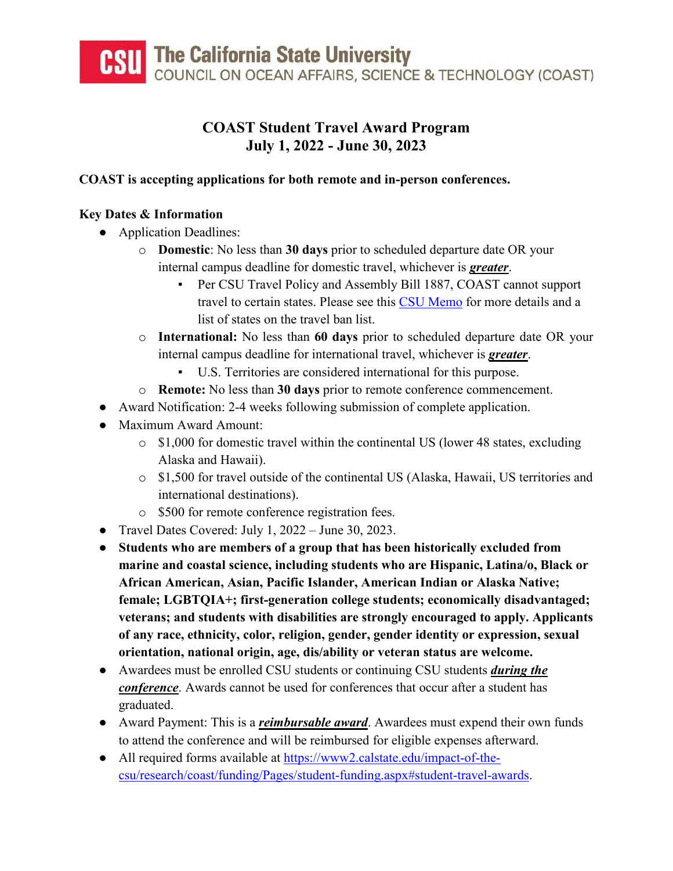# **COAST Student Travel Award Program July 1, 2022 - June 30, 2023**

# **COAST is accepting applications for both remote and in-person conferences.**

# **Key Dates & Information**

- Application Deadlines:
	- o **Domestic**: No less than **30 days** prior to scheduled departure date OR your internal campus deadline for domestic travel, whichever is *greater*.
		- Per CSU Travel Policy and Assembly Bill 1887, COAST cannot support travel to certain states. Please see this [CSU Memo](https://www2.calstate.edu/impact-of-the-csu/research/coast/funding/Documents/SR-Presidents%20Travel%20Ban%20Monie%20GC%2011139.8.pdf) for more details and a list of states on the travel ban list.
	- o **International:** No less than **60 days** prior to scheduled departure date OR your internal campus deadline for international travel, whichever is *greater*.
		- U.S. Territories are considered international for this purpose.
	- o **Remote:** No less than **30 days** prior to remote conference commencement.
- Award Notification: 2-4 weeks following submission of complete application.
- Maximum Award Amount:
	- o \$1,000 for domestic travel within the continental US (lower 48 states, excluding Alaska and Hawaii).
	- o \$1,500 for travel outside of the continental US (Alaska, Hawaii, US territories and international destinations).
	- o \$500 for remote conference registration fees.
- Travel Dates Covered: July 1, 2022 June 30, 2023.
- **Students who are members of a group that has been historically excluded from marine and coastal science, including students who are Hispanic, Latina/o, Black or African American, Asian, Pacific Islander, American Indian or Alaska Native; female; LGBTQIA+; first-generation college students; economically disadvantaged; veterans; and students with disabilities are strongly encouraged to apply. Applicants of any race, ethnicity, color, religion, gender, gender identity or expression, sexual orientation, national origin, age, dis/ability or veteran status are welcome.**
- Awardees must be enrolled CSU students or continuing CSU students *during the conference*. Awards cannot be used for conferences that occur after a student has graduated.
- Award Payment: This is a *reimbursable award*. Awardees must expend their own funds to attend the conference and will be reimbursed for eligible expenses afterward.
- All required forms available at [https://www2.calstate.edu/impact-of-the](https://www2.calstate.edu/impact-of-the-csu/research/coast/funding/Pages/student-funding.aspx#student-travel-awards)[csu/research/coast/funding/Pages/student-funding.aspx#student-travel-awards.](https://www2.calstate.edu/impact-of-the-csu/research/coast/funding/Pages/student-funding.aspx#student-travel-awards)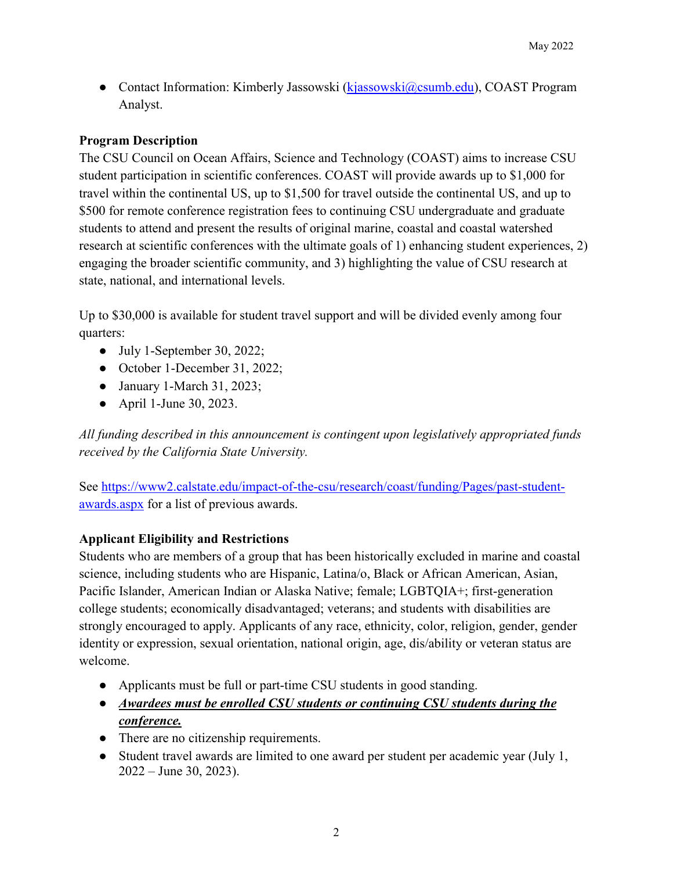• Contact Information: Kimberly Jassowski [\(kjassowski@csumb.edu\)](mailto:kjassowski@csumb.edu), COAST Program Analyst.

### **Program Description**

The CSU Council on Ocean Affairs, Science and Technology (COAST) aims to increase CSU student participation in scientific conferences. COAST will provide awards up to \$1,000 for travel within the continental US, up to \$1,500 for travel outside the continental US, and up to \$500 for remote conference registration fees to continuing CSU undergraduate and graduate students to attend and present the results of original marine, coastal and coastal watershed research at scientific conferences with the ultimate goals of 1) enhancing student experiences, 2) engaging the broader scientific community, and 3) highlighting the value of CSU research at state, national, and international levels.

Up to \$30,000 is available for student travel support and will be divided evenly among four quarters:

- July 1-September 30, 2022;
- October 1-December 31, 2022;
- January 1-March 31, 2023;
- April 1-June 30, 2023.

*All funding described in this announcement is contingent upon legislatively appropriated funds received by the California State University.*

See [https://www2.calstate.edu/impact-of-the-csu/research/coast/funding/Pages/past-student](https://www2.calstate.edu/impact-of-the-csu/research/coast/funding/Pages/past-student-awards.aspx)[awards.aspx](https://www2.calstate.edu/impact-of-the-csu/research/coast/funding/Pages/past-student-awards.aspx) for a list of previous awards.

#### **Applicant Eligibility and Restrictions**

Students who are members of a group that has been historically excluded in marine and coastal science, including students who are Hispanic, Latina/o, Black or African American, Asian, Pacific Islander, American Indian or Alaska Native; female; LGBTQIA+; first-generation college students; economically disadvantaged; veterans; and students with disabilities are strongly encouraged to apply. Applicants of any race, ethnicity, color, religion, gender, gender identity or expression, sexual orientation, national origin, age, dis/ability or veteran status are welcome.

- Applicants must be full or part-time CSU students in good standing.
- *Awardees must be enrolled CSU students or continuing CSU students during the conference.*
- There are no citizenship requirements.
- Student travel awards are limited to one award per student per academic year (July 1, 2022 – June 30, 2023).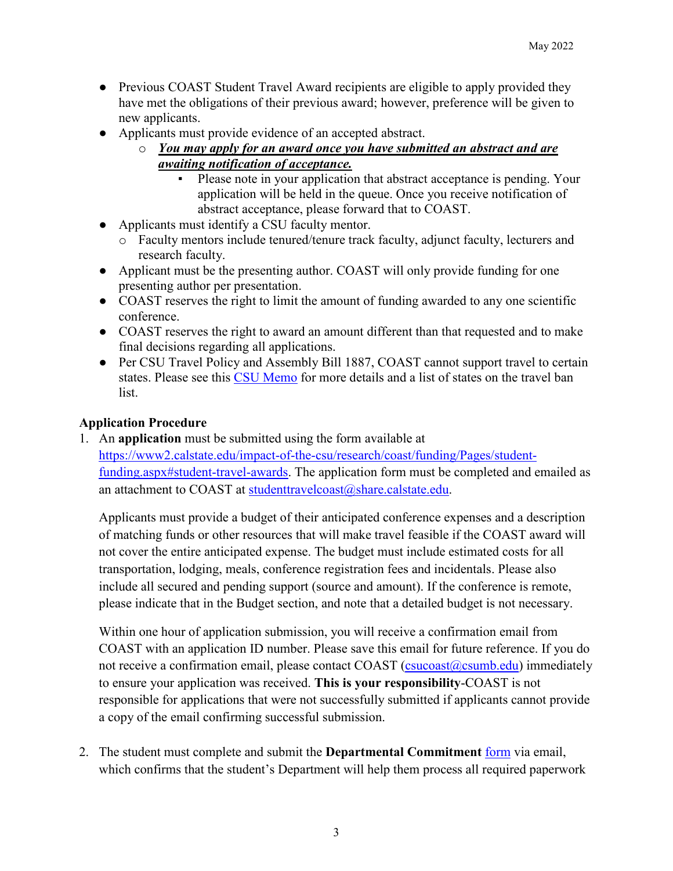- Previous COAST Student Travel Award recipients are eligible to apply provided they have met the obligations of their previous award; however, preference will be given to new applicants.
- Applicants must provide evidence of an accepted abstract.
	- o *You may apply for an award once you have submitted an abstract and are awaiting notification of acceptance.*
		- Please note in your application that abstract acceptance is pending. Your application will be held in the queue. Once you receive notification of abstract acceptance, please forward that to COAST.
- Applicants must identify a CSU faculty mentor.
	- o Faculty mentors include tenured/tenure track faculty, adjunct faculty, lecturers and research faculty.
- Applicant must be the presenting author. COAST will only provide funding for one presenting author per presentation.
- COAST reserves the right to limit the amount of funding awarded to any one scientific conference.
- COAST reserves the right to award an amount different than that requested and to make final decisions regarding all applications.
- Per CSU Travel Policy and Assembly Bill 1887, COAST cannot support travel to certain states. Please see this CSU [Memo](https://www2.calstate.edu/impact-of-the-csu/research/coast/funding/Documents/SR-Presidents%20Travel%20Ban%20Monie%20GC%2011139.8.pdf) for more details and a list of states on the travel ban list.

### **Application Procedure**

1. An **application** must be submitted using the form available at [https://www2.calstate.edu/impact-of-the-csu/research/coast/funding/Pages/student](https://www2.calstate.edu/impact-of-the-csu/research/coast/funding/Pages/student-funding.aspx#student-travel-awards)[funding.aspx#student-travel-awards.](https://www2.calstate.edu/impact-of-the-csu/research/coast/funding/Pages/student-funding.aspx#student-travel-awards) The application form must be completed and emailed as an attachment to COAST at [studenttravelcoast@share.calstate.edu.](mailto:studenttravelcoast@share.calstate.edu)

Applicants must provide a budget of their anticipated conference expenses and a description of matching funds or other resources that will make travel feasible if the COAST award will not cover the entire anticipated expense. The budget must include estimated costs for all transportation, lodging, meals, conference registration fees and incidentals. Please also include all secured and pending support (source and amount). If the conference is remote, please indicate that in the Budget section, and note that a detailed budget is not necessary.

Within one hour of application submission, you will receive a confirmation email from COAST with an application ID number. Please save this email for future reference. If you do not receive a confirmation email, please contact COAST [\(csucoast@csumb.edu\)](mailto:csucoast@csumb.edu) immediately to ensure your application was received. **This is your responsibility**-COAST is not responsible for applications that were not successfully submitted if applicants cannot provide a copy of the email confirming successful submission.

2. The student must complete and submit the **Departmental Commitment** [form](https://www2.calstate.edu/impact-of-the-csu/research/coast/funding/Pages/student-funding.aspx#student-travel-awards) via email, which confirms that the student's Department will help them process all required paperwork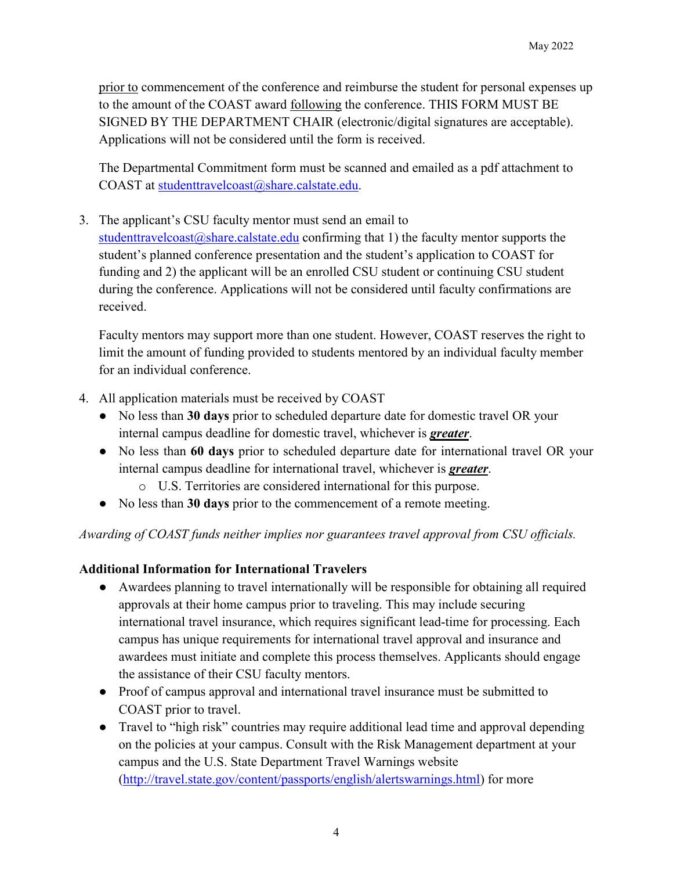prior to commencement of the conference and reimburse the student for personal expenses up to the amount of the COAST award following the conference. THIS FORM MUST BE SIGNED BY THE DEPARTMENT CHAIR (electronic/digital signatures are acceptable). Applications will not be considered until the form is received.

The Departmental Commitment form must be scanned and emailed as a pdf attachment to COAST at [studenttravelcoast@share.calstate.edu.](mailto:studenttravelcoast@share.calstate.edu)

3. The applicant's CSU faculty mentor must send an email to

studenttravelcoast $@$ share.calstate.edu confirming that 1) the faculty mentor supports the student's planned conference presentation and the student's application to COAST for funding and 2) the applicant will be an enrolled CSU student or continuing CSU student during the conference. Applications will not be considered until faculty confirmations are received.

Faculty mentors may support more than one student. However, COAST reserves the right to limit the amount of funding provided to students mentored by an individual faculty member for an individual conference.

- 4. All application materials must be received by COAST
	- No less than **30 days** prior to scheduled departure date for domestic travel OR your internal campus deadline for domestic travel, whichever is *greater*.
	- No less than **60 days** prior to scheduled departure date for international travel OR your internal campus deadline for international travel, whichever is *greater*.
		- o U.S. Territories are considered international for this purpose.
	- No less than **30 days** prior to the commencement of a remote meeting.

*Awarding of COAST funds neither implies nor guarantees travel approval from CSU officials.*

### **Additional Information for International Travelers**

- Awardees planning to travel internationally will be responsible for obtaining all required approvals at their home campus prior to traveling. This may include securing international travel insurance, which requires significant lead-time for processing. Each campus has unique requirements for international travel approval and insurance and awardees must initiate and complete this process themselves. Applicants should engage the assistance of their CSU faculty mentors.
- Proof of campus approval and international travel insurance must be submitted to COAST prior to travel.
- Travel to "high risk" countries may require additional lead time and approval depending on the policies at your campus. Consult with the Risk Management department at your campus and the U.S. State Department Travel Warnings website [\(http://travel.state.gov/content/passports/english/alertswarnings.html\)](http://travel.state.gov/content/passports/english/alertswarnings.html) for more